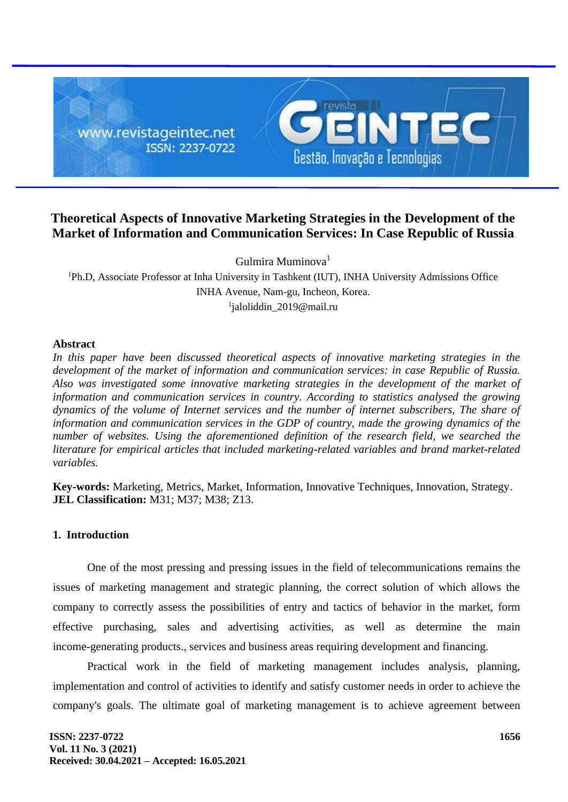

# **Theoretical Aspects of Innovative Marketing Strategies in the Development of the Market of Information and Communication Services: In Case Republic of Russia**

Gulmira Muminova<sup>1</sup>

<sup>1</sup>Ph.D, Associate Professor at Inha University in Tashkent (IUT), INHA University Admissions Office INHA Avenue, Nam-gu, Incheon, Korea. 1 jaloliddin\_2019@mail.ru

### **Abstract**

*In this paper have been discussed theoretical aspects of innovative marketing strategies in the development of the market of information and communication services: in case Republic of Russia. Also was investigated some innovative marketing strategies in the development of the market of information and communication services in country. According to statistics analysed the growing dynamics of the volume of Internet services and the number of internet subscribers, The share of information and communication services in the GDP of country, made the growing dynamics of the number of websites. Using the aforementioned definition of the research field, we searched the literature for empirical articles that included marketing-related variables and brand market-related variables.*

**Key-words:** Marketing, Metrics, Market, Information, Innovative Techniques, Innovation, Strategy. **JEL Classification:** M31; M37; M38; Z13.

# **1. Introduction**

One of the most pressing and pressing issues in the field of telecommunications remains the issues of marketing management and strategic planning, the correct solution of which allows the company to correctly assess the possibilities of entry and tactics of behavior in the market, form effective purchasing, sales and advertising activities, as well as determine the main income-generating products., services and business areas requiring development and financing.

Practical work in the field of marketing management includes analysis, planning, implementation and control of activities to identify and satisfy customer needs in order to achieve the company's goals. The ultimate goal of marketing management is to achieve agreement between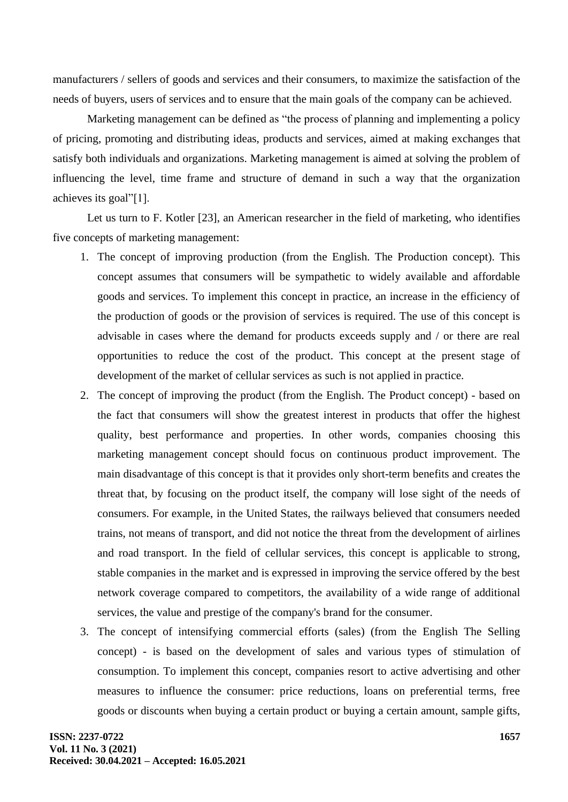manufacturers / sellers of goods and services and their consumers, to maximize the satisfaction of the needs of buyers, users of services and to ensure that the main goals of the company can be achieved.

Marketing management can be defined as "the process of planning and implementing a policy of pricing, promoting and distributing ideas, products and services, aimed at making exchanges that satisfy both individuals and organizations. Marketing management is aimed at solving the problem of influencing the level, time frame and structure of demand in such a way that the organization achieves its goal"[1].

Let us turn to F. Kotler [23], an American researcher in the field of marketing, who identifies five concepts of marketing management:

- 1. The concept of improving production (from the English. The Production concept). This concept assumes that consumers will be sympathetic to widely available and affordable goods and services. To implement this concept in practice, an increase in the efficiency of the production of goods or the provision of services is required. The use of this concept is advisable in cases where the demand for products exceeds supply and / or there are real opportunities to reduce the cost of the product. This concept at the present stage of development of the market of cellular services as such is not applied in practice.
- 2. The concept of improving the product (from the English. The Product concept) based on the fact that consumers will show the greatest interest in products that offer the highest quality, best performance and properties. In other words, companies choosing this marketing management concept should focus on continuous product improvement. The main disadvantage of this concept is that it provides only short-term benefits and creates the threat that, by focusing on the product itself, the company will lose sight of the needs of consumers. For example, in the United States, the railways believed that consumers needed trains, not means of transport, and did not notice the threat from the development of airlines and road transport. In the field of cellular services, this concept is applicable to strong, stable companies in the market and is expressed in improving the service offered by the best network coverage compared to competitors, the availability of a wide range of additional services, the value and prestige of the company's brand for the consumer.
- 3. The concept of intensifying commercial efforts (sales) (from the English The Selling concept) - is based on the development of sales and various types of stimulation of consumption. To implement this concept, companies resort to active advertising and other measures to influence the consumer: price reductions, loans on preferential terms, free goods or discounts when buying a certain product or buying a certain amount, sample gifts,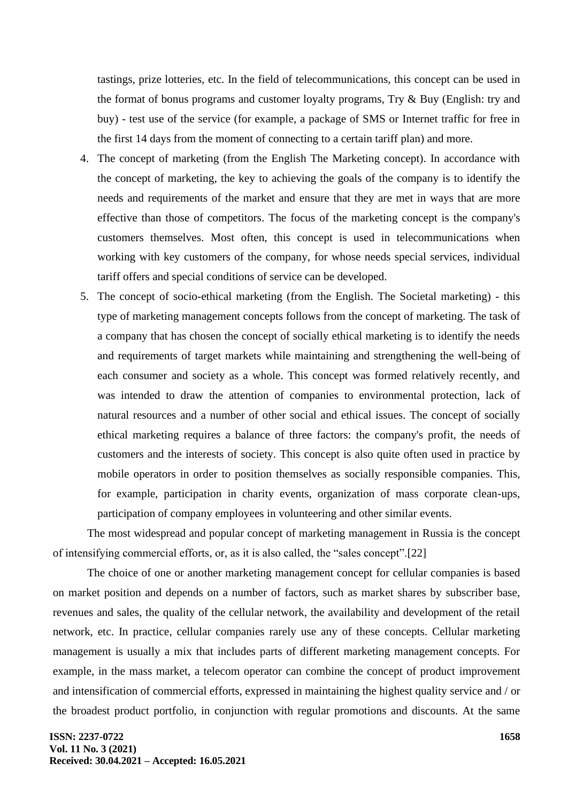tastings, prize lotteries, etc. In the field of telecommunications, this concept can be used in the format of bonus programs and customer loyalty programs, Try & Buy (English: try and buy) - test use of the service (for example, a package of SMS or Internet traffic for free in the first 14 days from the moment of connecting to a certain tariff plan) and more.

- 4. The concept of marketing (from the English The Marketing concept). In accordance with the concept of marketing, the key to achieving the goals of the company is to identify the needs and requirements of the market and ensure that they are met in ways that are more effective than those of competitors. The focus of the marketing concept is the company's customers themselves. Most often, this concept is used in telecommunications when working with key customers of the company, for whose needs special services, individual tariff offers and special conditions of service can be developed.
- 5. The concept of socio-ethical marketing (from the English. The Societal marketing) this type of marketing management concepts follows from the concept of marketing. The task of a company that has chosen the concept of socially ethical marketing is to identify the needs and requirements of target markets while maintaining and strengthening the well-being of each consumer and society as a whole. This concept was formed relatively recently, and was intended to draw the attention of companies to environmental protection, lack of natural resources and a number of other social and ethical issues. The concept of socially ethical marketing requires a balance of three factors: the company's profit, the needs of customers and the interests of society. This concept is also quite often used in practice by mobile operators in order to position themselves as socially responsible companies. This, for example, participation in charity events, organization of mass corporate clean-ups, participation of company employees in volunteering and other similar events.

The most widespread and popular concept of marketing management in Russia is the concept of intensifying commercial efforts, or, as it is also called, the "sales concept".[22]

The choice of one or another marketing management concept for cellular companies is based on market position and depends on a number of factors, such as market shares by subscriber base, revenues and sales, the quality of the cellular network, the availability and development of the retail network, etc. In practice, cellular companies rarely use any of these concepts. Cellular marketing management is usually a mix that includes parts of different marketing management concepts. For example, in the mass market, a telecom operator can combine the concept of product improvement and intensification of commercial efforts, expressed in maintaining the highest quality service and / or the broadest product portfolio, in conjunction with regular promotions and discounts. At the same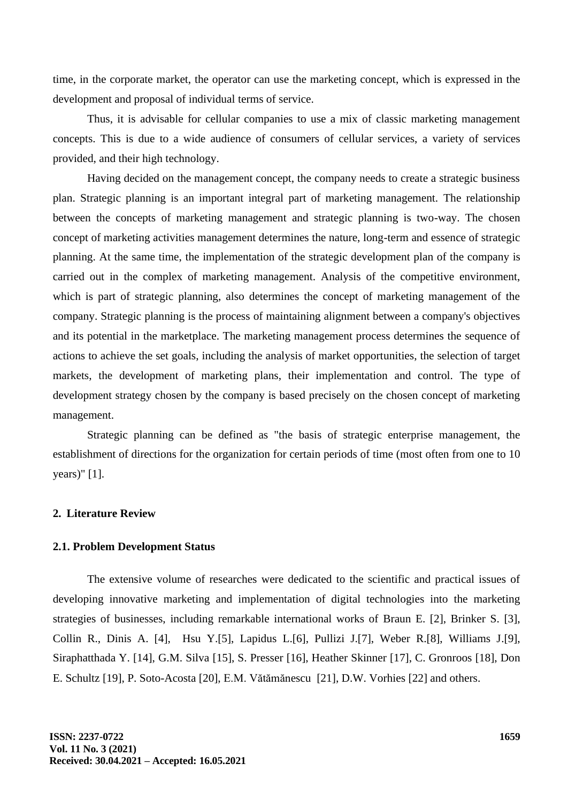time, in the corporate market, the operator can use the marketing concept, which is expressed in the development and proposal of individual terms of service.

Thus, it is advisable for cellular companies to use a mix of classic marketing management concepts. This is due to a wide audience of consumers of cellular services, a variety of services provided, and their high technology.

Having decided on the management concept, the company needs to create a strategic business plan. Strategic planning is an important integral part of marketing management. The relationship between the concepts of marketing management and strategic planning is two-way. The chosen concept of marketing activities management determines the nature, long-term and essence of strategic planning. At the same time, the implementation of the strategic development plan of the company is carried out in the complex of marketing management. Analysis of the competitive environment, which is part of strategic planning, also determines the concept of marketing management of the company. Strategic planning is the process of maintaining alignment between a company's objectives and its potential in the marketplace. The marketing management process determines the sequence of actions to achieve the set goals, including the analysis of market opportunities, the selection of target markets, the development of marketing plans, their implementation and control. The type of development strategy chosen by the company is based precisely on the chosen concept of marketing management.

Strategic planning can be defined as "the basis of strategic enterprise management, the establishment of directions for the organization for certain periods of time (most often from one to 10 years)" [1].

#### **2. Literature Review**

#### **2.1. Problem Development Status**

The extensive volume of researches were dedicated to the scientific and practical issues of developing innovative marketing and implementation of digital technologies into the marketing strategies of businesses, including remarkable international works of Braun E. [2], Brinker S. [3], Collin R., Dinis A. [4], Hsu Y.[5], Lapidus L.[6], Pullizi J.[7], Weber R.[8], Williams J.[9], Siraphatthada Y. [14], G.M. Silva [15], S. Presser [16], Heather Skinner [17], C. Gronroos [18], Don E. Schultz [19], P. Soto-Acosta [20], E.M. Vătămănescu [21], D.W. Vorhies [22] and others.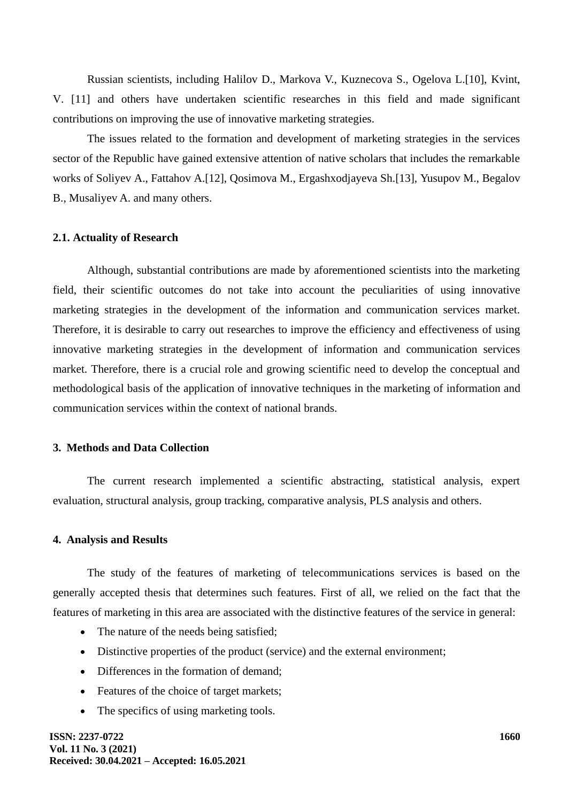Russian scientists, including Halilov D., Markova V., Kuznecova S., Ogelova L.[10], Kvint, V. [11] and others have undertaken scientific researches in this field and made significant contributions on improving the use of innovative marketing strategies.

The issues related to the formation and development of marketing strategies in the services sector of the Republic have gained extensive attention of native scholars that includes the remarkable works of Soliyev A., Fattahov A.[12], Qosimova M., Ergashxodjayeva Sh.[13], Yusupov M., Begalov B., Musaliyev A. and many others.

#### **2.1. Actuality of Research**

Although, substantial contributions are made by aforementioned scientists into the marketing field, their scientific outcomes do not take into account the peculiarities of using innovative marketing strategies in the development of the information and communication services market. Therefore, it is desirable to carry out researches to improve the efficiency and effectiveness of using innovative marketing strategies in the development of information and communication services market. Therefore, there is a crucial role and growing scientific need to develop the conceptual and methodological basis of the application of innovative techniques in the marketing of information and communication services within the context of national brands.

### **3. Methods and Data Collection**

The current research implemented a scientific abstracting, statistical analysis, expert evaluation, structural analysis, group tracking, comparative analysis, PLS analysis and others.

#### **4. Analysis and Results**

The study of the features of marketing of telecommunications services is based on the generally accepted thesis that determines such features. First of all, we relied on the fact that the features of marketing in this area are associated with the distinctive features of the service in general:

- The nature of the needs being satisfied;
- Distinctive properties of the product (service) and the external environment;
- Differences in the formation of demand;
- Features of the choice of target markets;
- The specifics of using marketing tools.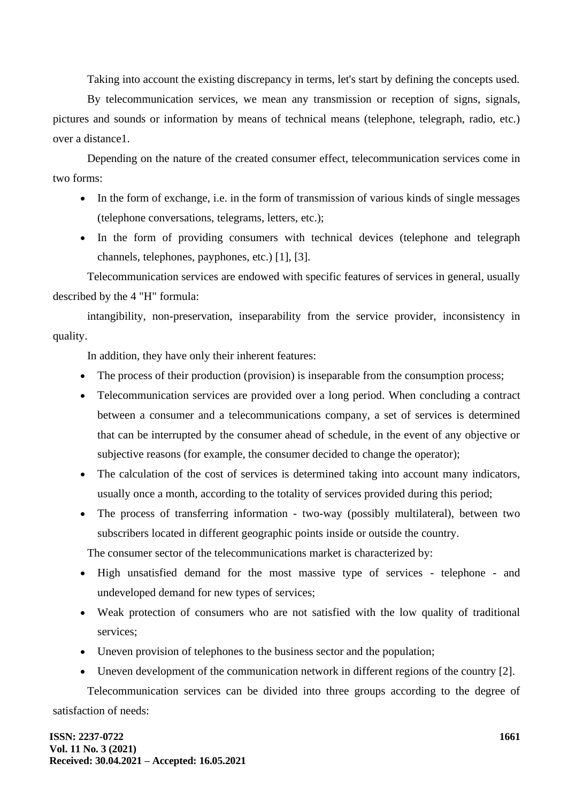Taking into account the existing discrepancy in terms, let's start by defining the concepts used.

By telecommunication services, we mean any transmission or reception of signs, signals, pictures and sounds or information by means of technical means (telephone, telegraph, radio, etc.) over a distance1.

Depending on the nature of the created consumer effect, telecommunication services come in two forms:

- In the form of exchange, i.e. in the form of transmission of various kinds of single messages (telephone conversations, telegrams, letters, etc.);
- In the form of providing consumers with technical devices (telephone and telegraph channels, telephones, payphones, etc.) [1], [3].

Telecommunication services are endowed with specific features of services in general, usually described by the 4 "H" formula:

intangibility, non-preservation, inseparability from the service provider, inconsistency in quality.

In addition, they have only their inherent features:

- The process of their production (provision) is inseparable from the consumption process;
- Telecommunication services are provided over a long period. When concluding a contract between a consumer and a telecommunications company, a set of services is determined that can be interrupted by the consumer ahead of schedule, in the event of any objective or subjective reasons (for example, the consumer decided to change the operator);
- The calculation of the cost of services is determined taking into account many indicators, usually once a month, according to the totality of services provided during this period;
- The process of transferring information two-way (possibly multilateral), between two subscribers located in different geographic points inside or outside the country.

The consumer sector of the telecommunications market is characterized by:

- High unsatisfied demand for the most massive type of services telephone and undeveloped demand for new types of services;
- Weak protection of consumers who are not satisfied with the low quality of traditional services;
- Uneven provision of telephones to the business sector and the population;
- Uneven development of the communication network in different regions of the country [2].

Telecommunication services can be divided into three groups according to the degree of satisfaction of needs: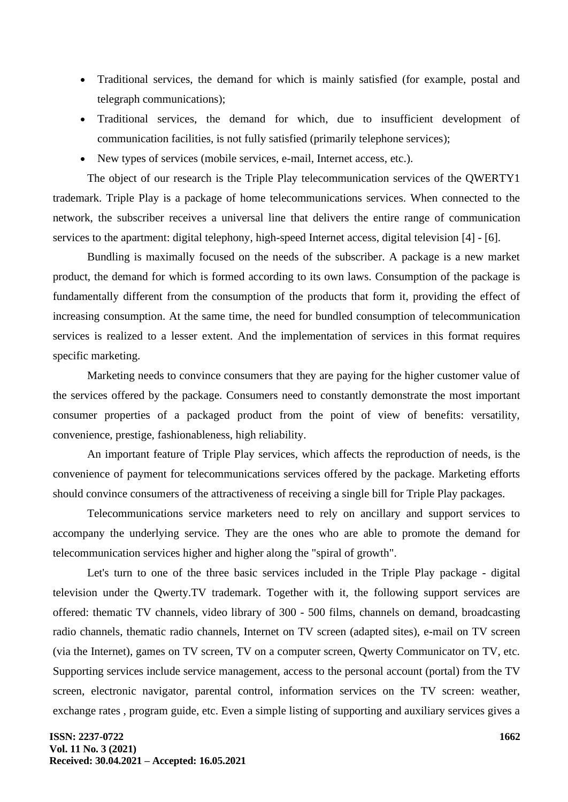- Traditional services, the demand for which is mainly satisfied (for example, postal and telegraph communications);
- Traditional services, the demand for which, due to insufficient development of communication facilities, is not fully satisfied (primarily telephone services);
- New types of services (mobile services, e-mail, Internet access, etc.).

The object of our research is the Triple Play telecommunication services of the QWERTY1 trademark. Triple Play is a package of home telecommunications services. When connected to the network, the subscriber receives a universal line that delivers the entire range of communication services to the apartment: digital telephony, high-speed Internet access, digital television [4] - [6].

Bundling is maximally focused on the needs of the subscriber. A package is a new market product, the demand for which is formed according to its own laws. Consumption of the package is fundamentally different from the consumption of the products that form it, providing the effect of increasing consumption. At the same time, the need for bundled consumption of telecommunication services is realized to a lesser extent. And the implementation of services in this format requires specific marketing.

Marketing needs to convince consumers that they are paying for the higher customer value of the services offered by the package. Consumers need to constantly demonstrate the most important consumer properties of a packaged product from the point of view of benefits: versatility, convenience, prestige, fashionableness, high reliability.

An important feature of Triple Play services, which affects the reproduction of needs, is the convenience of payment for telecommunications services offered by the package. Marketing efforts should convince consumers of the attractiveness of receiving a single bill for Triple Play packages.

Telecommunications service marketers need to rely on ancillary and support services to accompany the underlying service. They are the ones who are able to promote the demand for telecommunication services higher and higher along the "spiral of growth".

Let's turn to one of the three basic services included in the Triple Play package - digital television under the Qwerty.TV trademark. Together with it, the following support services are offered: thematic TV channels, video library of 300 - 500 films, channels on demand, broadcasting radio channels, thematic radio channels, Internet on TV screen (adapted sites), e-mail on TV screen (via the Internet), games on TV screen, TV on a computer screen, Qwerty Communicator on TV, etc. Supporting services include service management, access to the personal account (portal) from the TV screen, electronic navigator, parental control, information services on the TV screen: weather, exchange rates , program guide, etc. Even a simple listing of supporting and auxiliary services gives a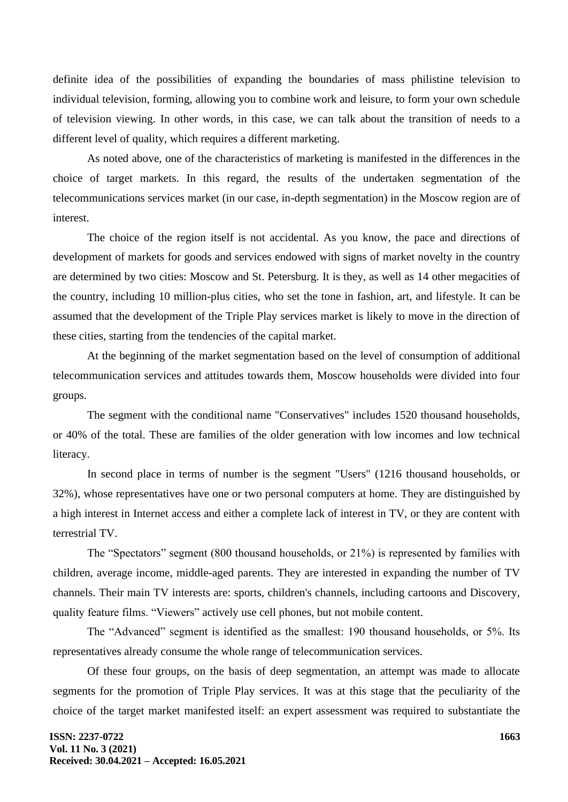definite idea of the possibilities of expanding the boundaries of mass philistine television to individual television, forming, allowing you to combine work and leisure, to form your own schedule of television viewing. In other words, in this case, we can talk about the transition of needs to a different level of quality, which requires a different marketing.

As noted above, one of the characteristics of marketing is manifested in the differences in the choice of target markets. In this regard, the results of the undertaken segmentation of the telecommunications services market (in our case, in-depth segmentation) in the Moscow region are of interest.

The choice of the region itself is not accidental. As you know, the pace and directions of development of markets for goods and services endowed with signs of market novelty in the country are determined by two cities: Moscow and St. Petersburg. It is they, as well as 14 other megacities of the country, including 10 million-plus cities, who set the tone in fashion, art, and lifestyle. It can be assumed that the development of the Triple Play services market is likely to move in the direction of these cities, starting from the tendencies of the capital market.

At the beginning of the market segmentation based on the level of consumption of additional telecommunication services and attitudes towards them, Moscow households were divided into four groups.

The segment with the conditional name "Conservatives" includes 1520 thousand households, or 40% of the total. These are families of the older generation with low incomes and low technical literacy.

In second place in terms of number is the segment "Users" (1216 thousand households, or 32%), whose representatives have one or two personal computers at home. They are distinguished by a high interest in Internet access and either a complete lack of interest in TV, or they are content with terrestrial TV.

The "Spectators" segment (800 thousand households, or 21%) is represented by families with children, average income, middle-aged parents. They are interested in expanding the number of TV channels. Their main TV interests are: sports, children's channels, including cartoons and Discovery, quality feature films. "Viewers" actively use cell phones, but not mobile content.

The "Advanced" segment is identified as the smallest: 190 thousand households, or 5%. Its representatives already consume the whole range of telecommunication services.

Of these four groups, on the basis of deep segmentation, an attempt was made to allocate segments for the promotion of Triple Play services. It was at this stage that the peculiarity of the choice of the target market manifested itself: an expert assessment was required to substantiate the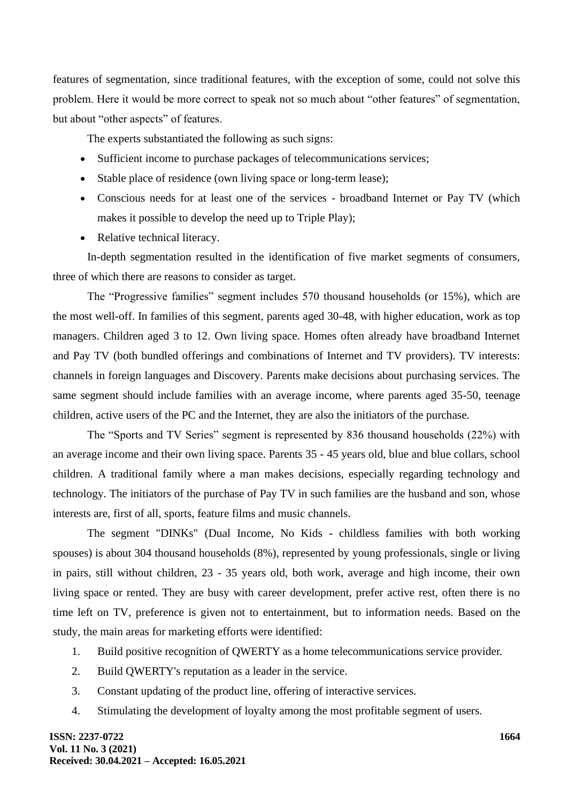features of segmentation, since traditional features, with the exception of some, could not solve this problem. Here it would be more correct to speak not so much about "other features" of segmentation, but about "other aspects" of features.

The experts substantiated the following as such signs:

- Sufficient income to purchase packages of telecommunications services;
- Stable place of residence (own living space or long-term lease);
- Conscious needs for at least one of the services broadband Internet or Pay TV (which makes it possible to develop the need up to Triple Play);
- Relative technical literacy.

In-depth segmentation resulted in the identification of five market segments of consumers, three of which there are reasons to consider as target.

The "Progressive families" segment includes 570 thousand households (or 15%), which are the most well-off. In families of this segment, parents aged 30-48, with higher education, work as top managers. Children aged 3 to 12. Own living space. Homes often already have broadband Internet and Pay TV (both bundled offerings and combinations of Internet and TV providers). TV interests: channels in foreign languages and Discovery. Parents make decisions about purchasing services. The same segment should include families with an average income, where parents aged 35-50, teenage children, active users of the PC and the Internet, they are also the initiators of the purchase.

The "Sports and TV Series" segment is represented by 836 thousand households (22%) with an average income and their own living space. Parents 35 - 45 years old, blue and blue collars, school children. A traditional family where a man makes decisions, especially regarding technology and technology. The initiators of the purchase of Pay TV in such families are the husband and son, whose interests are, first of all, sports, feature films and music channels.

The segment "DINKs" (Dual Income, No Kids - childless families with both working spouses) is about 304 thousand households (8%), represented by young professionals, single or living in pairs, still without children, 23 - 35 years old, both work, average and high income, their own living space or rented. They are busy with career development, prefer active rest, often there is no time left on TV, preference is given not to entertainment, but to information needs. Based on the study, the main areas for marketing efforts were identified:

- 1. Build positive recognition of QWERTY as a home telecommunications service provider.
- 2. Build QWERTY's reputation as a leader in the service.
- 3. Constant updating of the product line, offering of interactive services.
- 4. Stimulating the development of loyalty among the most profitable segment of users.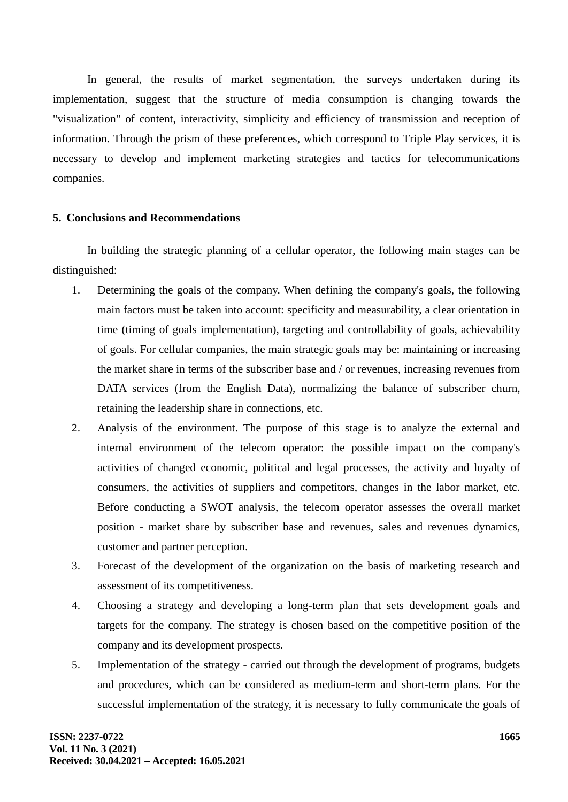In general, the results of market segmentation, the surveys undertaken during its implementation, suggest that the structure of media consumption is changing towards the "visualization" of content, interactivity, simplicity and efficiency of transmission and reception of information. Through the prism of these preferences, which correspond to Triple Play services, it is necessary to develop and implement marketing strategies and tactics for telecommunications companies.

### **5. Conclusions and Recommendations**

In building the strategic planning of a cellular operator, the following main stages can be distinguished:

- 1. Determining the goals of the company. When defining the company's goals, the following main factors must be taken into account: specificity and measurability, a clear orientation in time (timing of goals implementation), targeting and controllability of goals, achievability of goals. For cellular companies, the main strategic goals may be: maintaining or increasing the market share in terms of the subscriber base and / or revenues, increasing revenues from DATA services (from the English Data), normalizing the balance of subscriber churn, retaining the leadership share in connections, etc.
- 2. Analysis of the environment. The purpose of this stage is to analyze the external and internal environment of the telecom operator: the possible impact on the company's activities of changed economic, political and legal processes, the activity and loyalty of consumers, the activities of suppliers and competitors, changes in the labor market, etc. Before conducting a SWOT analysis, the telecom operator assesses the overall market position - market share by subscriber base and revenues, sales and revenues dynamics, customer and partner perception.
- 3. Forecast of the development of the organization on the basis of marketing research and assessment of its competitiveness.
- 4. Choosing a strategy and developing a long-term plan that sets development goals and targets for the company. The strategy is chosen based on the competitive position of the company and its development prospects.
- 5. Implementation of the strategy carried out through the development of programs, budgets and procedures, which can be considered as medium-term and short-term plans. For the successful implementation of the strategy, it is necessary to fully communicate the goals of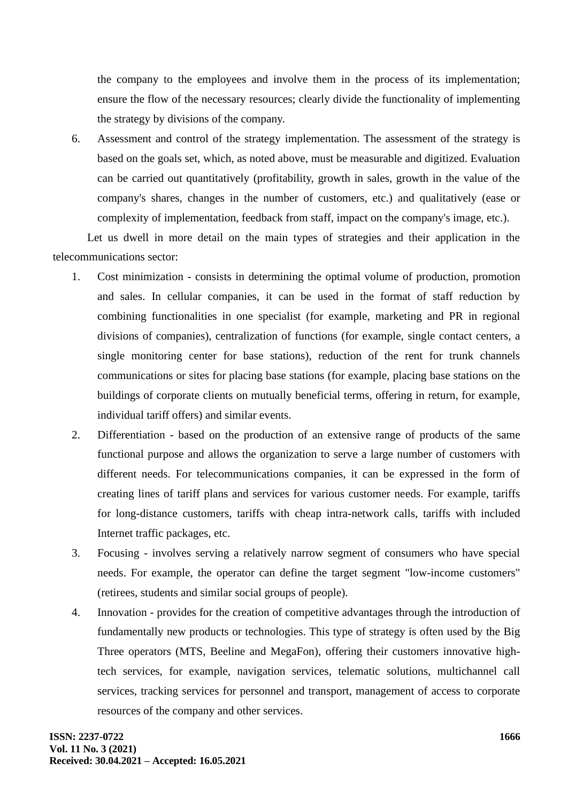the company to the employees and involve them in the process of its implementation; ensure the flow of the necessary resources; clearly divide the functionality of implementing the strategy by divisions of the company.

6. Assessment and control of the strategy implementation. The assessment of the strategy is based on the goals set, which, as noted above, must be measurable and digitized. Evaluation can be carried out quantitatively (profitability, growth in sales, growth in the value of the company's shares, changes in the number of customers, etc.) and qualitatively (ease or complexity of implementation, feedback from staff, impact on the company's image, etc.).

Let us dwell in more detail on the main types of strategies and their application in the telecommunications sector:

- 1. Cost minimization consists in determining the optimal volume of production, promotion and sales. In cellular companies, it can be used in the format of staff reduction by combining functionalities in one specialist (for example, marketing and PR in regional divisions of companies), centralization of functions (for example, single contact centers, a single monitoring center for base stations), reduction of the rent for trunk channels communications or sites for placing base stations (for example, placing base stations on the buildings of corporate clients on mutually beneficial terms, offering in return, for example, individual tariff offers) and similar events.
- 2. Differentiation based on the production of an extensive range of products of the same functional purpose and allows the organization to serve a large number of customers with different needs. For telecommunications companies, it can be expressed in the form of creating lines of tariff plans and services for various customer needs. For example, tariffs for long-distance customers, tariffs with cheap intra-network calls, tariffs with included Internet traffic packages, etc.
- 3. Focusing involves serving a relatively narrow segment of consumers who have special needs. For example, the operator can define the target segment "low-income customers" (retirees, students and similar social groups of people).
- 4. Innovation provides for the creation of competitive advantages through the introduction of fundamentally new products or technologies. This type of strategy is often used by the Big Three operators (MTS, Beeline and MegaFon), offering their customers innovative hightech services, for example, navigation services, telematic solutions, multichannel call services, tracking services for personnel and transport, management of access to corporate resources of the company and other services.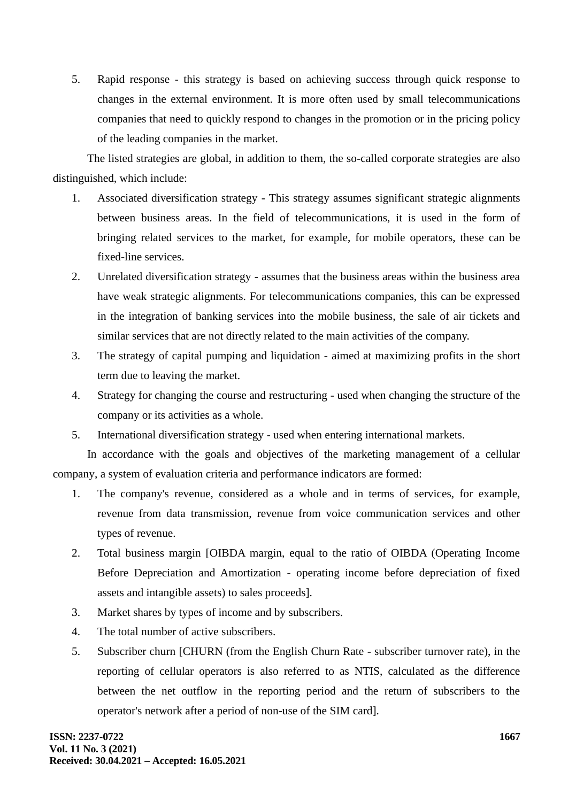5. Rapid response - this strategy is based on achieving success through quick response to changes in the external environment. It is more often used by small telecommunications companies that need to quickly respond to changes in the promotion or in the pricing policy of the leading companies in the market.

The listed strategies are global, in addition to them, the so-called corporate strategies are also distinguished, which include:

- 1. Associated diversification strategy This strategy assumes significant strategic alignments between business areas. In the field of telecommunications, it is used in the form of bringing related services to the market, for example, for mobile operators, these can be fixed-line services.
- 2. Unrelated diversification strategy assumes that the business areas within the business area have weak strategic alignments. For telecommunications companies, this can be expressed in the integration of banking services into the mobile business, the sale of air tickets and similar services that are not directly related to the main activities of the company.
- 3. The strategy of capital pumping and liquidation aimed at maximizing profits in the short term due to leaving the market.
- 4. Strategy for changing the course and restructuring used when changing the structure of the company or its activities as a whole.
- 5. International diversification strategy used when entering international markets.

In accordance with the goals and objectives of the marketing management of a cellular company, a system of evaluation criteria and performance indicators are formed:

- 1. The company's revenue, considered as a whole and in terms of services, for example, revenue from data transmission, revenue from voice communication services and other types of revenue.
- 2. Total business margin [OIBDA margin, equal to the ratio of OIBDA (Operating Income Before Depreciation and Amortization - operating income before depreciation of fixed assets and intangible assets) to sales proceeds].
- 3. Market shares by types of income and by subscribers.
- 4. The total number of active subscribers.
- 5. Subscriber churn [CHURN (from the English Churn Rate subscriber turnover rate), in the reporting of cellular operators is also referred to as NTIS, calculated as the difference between the net outflow in the reporting period and the return of subscribers to the operator's network after a period of non-use of the SIM card].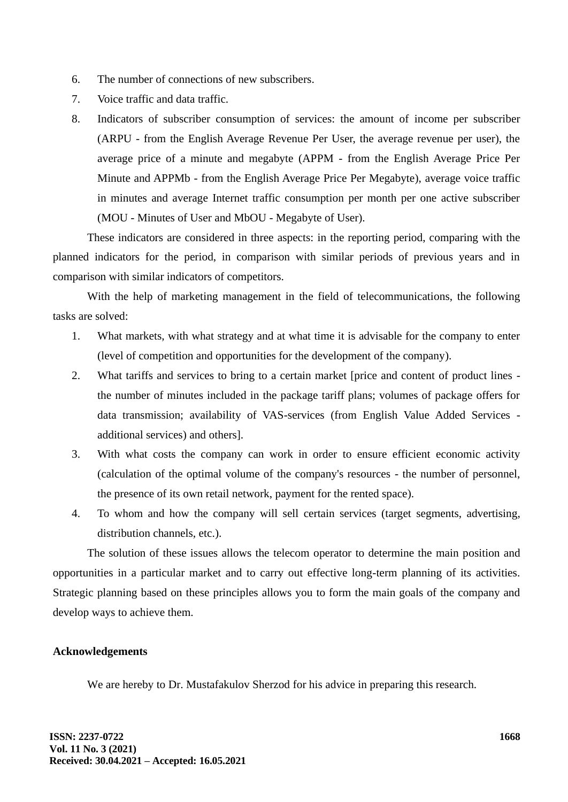- 6. The number of connections of new subscribers.
- 7. Voice traffic and data traffic.
- 8. Indicators of subscriber consumption of services: the amount of income per subscriber (ARPU - from the English Average Revenue Per User, the average revenue per user), the average price of a minute and megabyte (APPM - from the English Average Price Per Minute and APPMb - from the English Average Price Per Megabyte), average voice traffic in minutes and average Internet traffic consumption per month per one active subscriber (MOU - Minutes of User and MbOU - Megabyte of User).

These indicators are considered in three aspects: in the reporting period, comparing with the planned indicators for the period, in comparison with similar periods of previous years and in comparison with similar indicators of competitors.

With the help of marketing management in the field of telecommunications, the following tasks are solved:

- 1. What markets, with what strategy and at what time it is advisable for the company to enter (level of competition and opportunities for the development of the company).
- 2. What tariffs and services to bring to a certain market [price and content of product lines the number of minutes included in the package tariff plans; volumes of package offers for data transmission; availability of VAS-services (from English Value Added Services additional services) and others].
- 3. With what costs the company can work in order to ensure efficient economic activity (calculation of the optimal volume of the company's resources - the number of personnel, the presence of its own retail network, payment for the rented space).
- 4. To whom and how the company will sell certain services (target segments, advertising, distribution channels, etc.).

The solution of these issues allows the telecom operator to determine the main position and opportunities in a particular market and to carry out effective long-term planning of its activities. Strategic planning based on these principles allows you to form the main goals of the company and develop ways to achieve them.

# **Acknowledgements**

We are hereby to Dr. Mustafakulov Sherzod for his advice in preparing this research.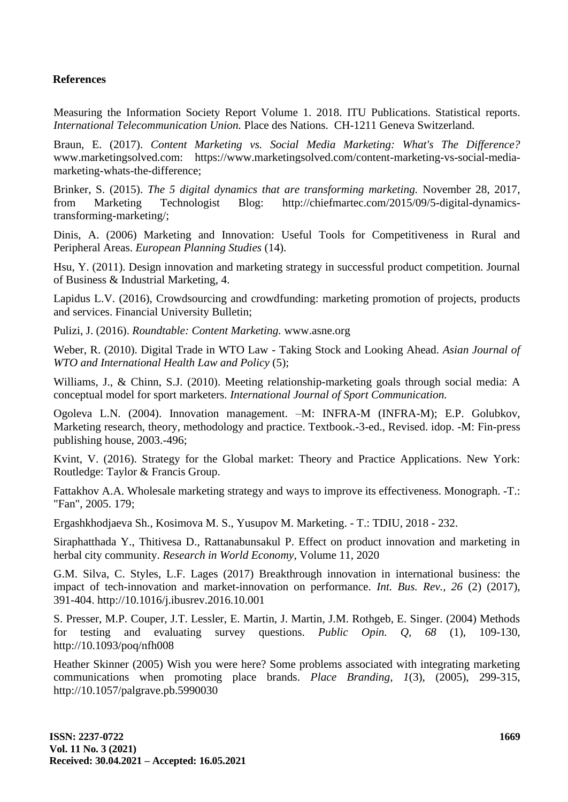### **References**

Measuring the Information Society Report Volume 1. 2018. ITU Publications. Statistical reports. *International Telecommunication Union.* Place des Nations. CH-1211 Geneva Switzerland.

Braun, E. (2017). *Content Marketing vs. Social Media Marketing: What's The Difference?* www.marketingsolved.com: https://www.marketingsolved.com/content-marketing-vs-social-mediamarketing-whats-the-difference;

Brinker, S. (2015). *The 5 digital dynamics that are transforming marketing.* November 28, 2017, from Marketing Technologist Blog: http://chiefmartec.com/2015/09/5-digital-dynamicstransforming-marketing/;

Dinis, A. (2006) Marketing and Innovation: Useful Tools for Competitiveness in Rural and Peripheral Areas. *European Planning Studies* (14).

Hsu, Y. (2011). Design innovation and marketing strategy in successful product competition. Journal of Business & Industrial Marketing, 4.

Lapidus L.V. (2016), Crowdsourcing and crowdfunding: marketing promotion of projects, products and services. Financial University Bulletin;

Pulizi, J. (2016). *Roundtable: Content Marketing.* www.asne.org

Weber, R. (2010). Digital Trade in WTO Law - Taking Stock and Looking Ahead. *Asian Journal of WTO and International Health Law and Policy* (5);

Williams, J., & Chinn, S.J. (2010). Meeting relationship-marketing goals through social media: A conceptual model for sport marketers. *International Journal of Sport Communication.*

Ogoleva L.N. (2004). Innovation management. –M: INFRA-M (INFRA-M); E.P. Golubkov, Marketing research, theory, methodology and practice. Textbook.-3-ed., Revised. idop. -M: Fin-press publishing house, 2003.-496;

Kvint, V. (2016). Strategy for the Global market: Theory and Practice Applications. New York: Routledge: Taylor & Francis Group.

Fattakhov A.A. Wholesale marketing strategy and ways to improve its effectiveness. Monograph. -T.: "Fan", 2005. 179;

Ergashkhodjaeva Sh., Kosimova M. S., Yusupov M. Marketing. - T.: TDIU, 2018 - 232.

Siraphatthada Y., Thitivesa D., Rattanabunsakul P. Effect on product innovation and marketing in herbal city community. *Research in World Economy,* Volume 11, 2020

G.M. Silva, C. Styles, L.F. Lages (2017) Breakthrough innovation in international business: the impact of tech-innovation and market-innovation on performance. *Int. Bus. Rev., 26* (2) (2017), 391-404. http://10.1016/j.ibusrev.2016.10.001

S. Presser, M.P. Couper, J.T. Lessler, E. Martin, J. Martin, J.M. Rothgeb, E. Singer. (2004) Methods for testing and evaluating survey questions. *Public Opin. Q, 68* (1), 109-130, http://10.1093/poq/nfh008

Heather Skinner (2005) Wish you were here? Some problems associated with integrating marketing communications when promoting place brands. *Place Branding, 1*(3), (2005), 299-315, http://10.1057/palgrave.pb.5990030